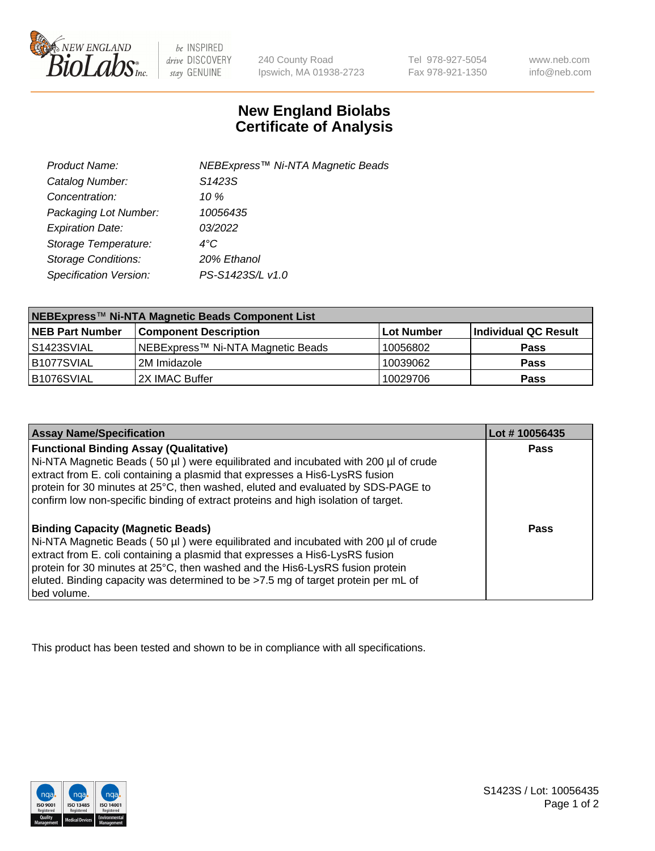

be INSPIRED drive DISCOVERY stay GENUINE

240 County Road Ipswich, MA 01938-2723 Tel 978-927-5054 Fax 978-921-1350

www.neb.com info@neb.com

## **New England Biolabs Certificate of Analysis**

| Product Name:              | NEBExpress <sup>™</sup> Ni-NTA Magnetic Beads |
|----------------------------|-----------------------------------------------|
| Catalog Number:            | S <sub>1423</sub> S                           |
| Concentration:             | 10 %                                          |
| Packaging Lot Number:      | 10056435                                      |
| <b>Expiration Date:</b>    | 03/2022                                       |
| Storage Temperature:       | $4^{\circ}$ C                                 |
| <b>Storage Conditions:</b> | 20% Ethanol                                   |
| Specification Version:     | PS-S1423S/L v1.0                              |
|                            |                                               |

| NEBExpress™ Ni-NTA Magnetic Beads Component List |                                   |            |                      |  |
|--------------------------------------------------|-----------------------------------|------------|----------------------|--|
| <b>NEB Part Number</b>                           | <b>Component Description</b>      | Lot Number | Individual QC Result |  |
| l S1423SVIAL                                     | NEBExpress™ Ni-NTA Magnetic Beads | 10056802   | <b>Pass</b>          |  |
| B1077SVIAL                                       | 12M Imidazole                     | 10039062   | <b>Pass</b>          |  |
| B1076SVIAL                                       | 2X IMAC Buffer                    | 10029706   | <b>Pass</b>          |  |

| <b>Assay Name/Specification</b>                                                                                                                                                                                                                                                                                                                                                                     | Lot #10056435 |
|-----------------------------------------------------------------------------------------------------------------------------------------------------------------------------------------------------------------------------------------------------------------------------------------------------------------------------------------------------------------------------------------------------|---------------|
| <b>Functional Binding Assay (Qualitative)</b><br>Ni-NTA Magnetic Beads (50 µl) were equilibrated and incubated with 200 µl of crude<br>extract from E. coli containing a plasmid that expresses a His6-LysRS fusion<br>protein for 30 minutes at 25°C, then washed, eluted and evaluated by SDS-PAGE to<br>confirm low non-specific binding of extract proteins and high isolation of target.       | Pass          |
| <b>Binding Capacity (Magnetic Beads)</b><br>Ni-NTA Magnetic Beads (50 µl) were equilibrated and incubated with 200 µl of crude<br>extract from E. coli containing a plasmid that expresses a His6-LysRS fusion<br>protein for 30 minutes at 25°C, then washed and the His6-LysRS fusion protein<br>eluted. Binding capacity was determined to be >7.5 mg of target protein per mL of<br>bed volume. | Pass          |

This product has been tested and shown to be in compliance with all specifications.